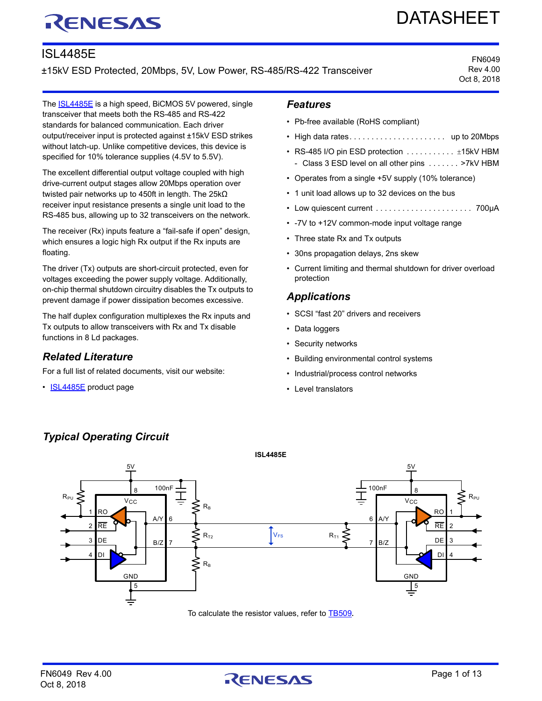# RENESAS

# DATASHEET

# ISL4485E

±15kV ESD Protected, 20Mbps, 5V, Low Power, RS-485/RS-422 Transceiver

FN6049 Rev 4.00 Oct 8, 2018

The **[ISL4485E](http://www.renesas.com/products/isl4485e?utm_source=renesas&utm_medium=datasheet&utm_campaign=isl4485e-ds-description)** is a high speed, BiCMOS 5V powered, single transceiver that meets both the RS-485 and RS-422 standards for balanced communication. Each driver output/receiver input is protected against ±15kV ESD strikes without latch-up. Unlike competitive devices, this device is specified for 10% tolerance supplies (4.5V to 5.5V).

The excellent differential output voltage coupled with high drive-current output stages allow 20Mbps operation over twisted pair networks up to 450ft in length. The 25kΩ receiver input resistance presents a single unit load to the RS-485 bus, allowing up to 32 transceivers on the network.

The receiver (Rx) inputs feature a "fail-safe if open" design, which ensures a logic high Rx output if the Rx inputs are floating.

The driver (Tx) outputs are short-circuit protected, even for voltages exceeding the power supply voltage. Additionally, on-chip thermal shutdown circuitry disables the Tx outputs to prevent damage if power dissipation becomes excessive.

The half duplex configuration multiplexes the Rx inputs and Tx outputs to allow transceivers with Rx and Tx disable functions in 8 Ld packages.

# *Related Literature*

For a full list of related documents, visit our website:

• [ISL4485E](http://www.renesas.com/products/isl4485e?utm_source=renesas&utm_medium=datasheet&utm_campaign=isl4485e-ds-references#documents) product page

*Typical Operating Circuit*

## *Features*

- Pb-free available (RoHS compliant)
- High data rates. . . . . . . . . . . . . . . . . . . . . . up to 20Mbps
- RS-485 I/O pin ESD protection  $\dots \dots \dots$  .  $\pm$ 15kV HBM - Class 3 ESD level on all other pins . . . . . . . >7kV HBM
- Operates from a single +5V supply (10% tolerance)
- 1 unit load allows up to 32 devices on the bus
- Low quiescent current . . . . . . . . . . . . . . . . . . . . . . 700µA
- -7V to +12V common-mode input voltage range
- Three state Rx and Tx outputs
- 30ns propagation delays, 2ns skew
- Current limiting and thermal shutdown for driver overload protection

# *Applications*

- SCSI "fast 20" drivers and receivers
- Data loggers
- Security networks
- Building environmental control systems
- Industrial/process control networks
- Level translators



To calculate the resistor values, refer to [TB509](http://www.renesas.com/products/isl4485e?utm_source=renesas&utm_medium=datasheet&utm_campaign=isl4485e-ds-references#documents)**.**

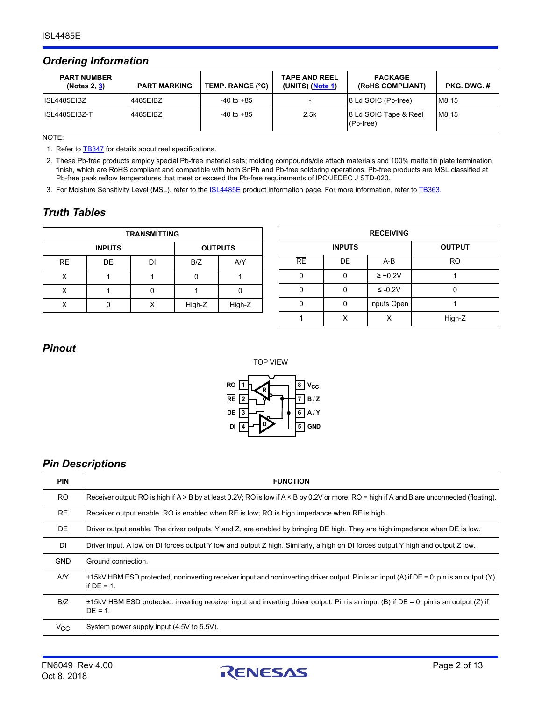# *Ordering Information*

| <b>PART NUMBER</b><br>(Notes 2, <u>3</u> ) | <b>PART MARKING</b> | TEMP. RANGE (°C) | <b>TAPE AND REEL</b><br>(UNITS) (Note 1) | <b>PACKAGE</b><br>(ROHS COMPLIANT)   | PKG. DWG. # |
|--------------------------------------------|---------------------|------------------|------------------------------------------|--------------------------------------|-------------|
| IISL4485EIBZ                               | 4485EIBZ            | $-40$ to $+85$   |                                          | 8 Ld SOIC (Pb-free)                  | M8.15       |
| ISL4485EIBZ-T                              | 4485EIBZ            | $-40$ to $+85$   | 2.5k                                     | 8 Ld SOIC Tape & Reel<br>$(Pb-free)$ | M8.15       |

NOTE:

<span id="page-1-2"></span>1. Refer to **[TB347](https://www.renesas.com/www/doc/tech-brief/tb347.pdf)** for details about reel specifications.

<span id="page-1-0"></span>2. These Pb-free products employ special Pb-free material sets; molding compounds/die attach materials and 100% matte tin plate termination finish, which are RoHS compliant and compatible with both SnPb and Pb-free soldering operations. Pb-free products are MSL classified at Pb-free peak reflow temperatures that meet or exceed the Pb-free requirements of IPC/JEDEC J STD-020.

<span id="page-1-1"></span>3. For Moisture Sensitivity Level (MSL), refer to the **ISL4485E** product information page. For more information, refer to [TB363.](https://www.renesas.com/www/doc/tech-brief/tb363.pdf)

# *Truth Tables*

| <b>TRANSMITTING</b> |               |    |                |        |
|---------------------|---------------|----|----------------|--------|
|                     | <b>INPUTS</b> |    | <b>OUTPUTS</b> |        |
| <b>RE</b>           | DE            | וח | B/Z            | AYY    |
| x                   |               |    |                |        |
|                     |               |    |                |        |
|                     |               |    | High-Z         | High-Z |

| <b>RECEIVING</b> |    |              |               |  |
|------------------|----|--------------|---------------|--|
| <b>INPUTS</b>    |    |              | <b>OUTPUT</b> |  |
| RE               | DE | $A-B$        | <b>RO</b>     |  |
|                  |    | $\geq +0.2V$ |               |  |
|                  | ი  | $\leq -0.2V$ |               |  |
|                  | ŋ  | Inputs Open  |               |  |
|                  | Χ  |              | High-Z        |  |

## *Pinout*



# *Pin Descriptions*

| <b>PIN</b>     | <b>FUNCTION</b>                                                                                                                                           |
|----------------|-----------------------------------------------------------------------------------------------------------------------------------------------------------|
| R <sub>O</sub> | Receiver output: RO is high if $A > B$ by at least 0.2V; RO is low if $A < B$ by 0.2V or more; RO = high if A and B are unconnected (floating).           |
| RE             | Receiver output enable. RO is enabled when RE is low; RO is high impedance when RE is high.                                                               |
| <b>DE</b>      | Driver output enable. The driver outputs, Y and Z, are enabled by bringing DE high. They are high impedance when DE is low.                               |
| DI             | Driver input. A low on DI forces output Y low and output Z high. Similarly, a high on DI forces output Y high and output Z low.                           |
| <b>GND</b>     | Ground connection.                                                                                                                                        |
| AY             | ±15kV HBM ESD protected, noninverting receiver input and noninverting driver output. Pin is an input (A) if DE = 0; pin is an output (Y)<br>if $DE = 1$ . |
| B/Z            | $\pm$ 15kV HBM ESD protected, inverting receiver input and inverting driver output. Pin is an input (B) if DE = 0; pin is an output (Z) if<br>$DE = 1$ .  |
| $V_{\rm CC}$   | System power supply input (4.5V to 5.5V).                                                                                                                 |

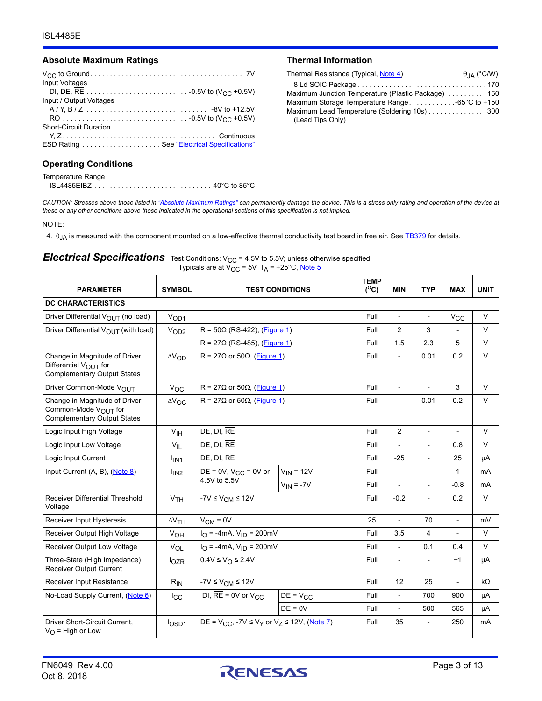#### <span id="page-2-1"></span>Absolute Maximum Ratings **Thermal Information**

| Input Voltages                |
|-------------------------------|
|                               |
| Input / Output Voltages       |
|                               |
|                               |
| <b>Short-Circuit Duration</b> |
|                               |
|                               |
|                               |

#### **Operating Conditions**

| Temperature Range |  |
|-------------------|--|
|                   |  |

| Thermal Resistance (Typical, Note 4)                | $\theta_{IA}$ (°C/W) |
|-----------------------------------------------------|----------------------|
|                                                     |                      |
| Maximum Junction Temperature (Plastic Package)  150 |                      |
| Maximum Storage Temperature Range-65°C to +150      |                      |
| Maximum Lead Temperature (Soldering 10s) 300        |                      |
| (Lead Tips Only)                                    |                      |

*CAUTION: Stresses above those listed in ["Absolute Maximum Ratings"](#page-2-1) can permanently damage the device. This is a stress only rating and operation of the device at these or any other conditions above those indicated in the operational sections of this specification is not implied.*

#### NOTE:

<span id="page-2-2"></span>4.  $\theta_{JA}$  is measured with the component mounted on a low-effective thermal conductivity test board in free air. See  $\frac{TB379}{IB379}$  for details.

#### <span id="page-2-0"></span>**Electrical Specifications** Test Conditions: V<sub>CC</sub> = 4.5V to 5.5V; unless otherwise specified. Typicals are at V<sub>CC</sub> = 5V, T<sub>A</sub> = +25°C, <u>Note 5</u>

| <b>PARAMETER</b>                                                                                        | <b>SYMBOL</b>                              | <b>TEST CONDITIONS</b>                               |                | <b>TEMP</b><br>$(^{\circ}C)$ | <b>MIN</b>               | <b>TYP</b>               | <b>MAX</b>               | <b>UNIT</b> |
|---------------------------------------------------------------------------------------------------------|--------------------------------------------|------------------------------------------------------|----------------|------------------------------|--------------------------|--------------------------|--------------------------|-------------|
| <b>DC CHARACTERISTICS</b>                                                                               |                                            |                                                      |                |                              |                          |                          |                          |             |
| Driver Differential $V_{\text{OUT}}$ (no load)                                                          | V <sub>OD1</sub>                           |                                                      |                | Full                         | $\overline{\phantom{a}}$ | $\overline{\phantom{a}}$ | $V_{CC}$                 | $\vee$      |
| Driver Differential V <sub>OUT</sub> (with load)                                                        | V <sub>OD2</sub>                           | $R = 50\Omega$ (RS-422), (Figure 1)                  |                | Full                         | $\overline{2}$           | 3                        |                          | $\vee$      |
|                                                                                                         |                                            | $R = 27\Omega$ (RS-485), (Figure 1)                  |                | Full                         | 1.5                      | 2.3                      | 5                        | $\vee$      |
| Change in Magnitude of Driver<br>Differential $V_{\bigcap I}$ for<br><b>Complementary Output States</b> | $\Delta V_{OD}$                            | $R = 27\Omega$ or 50 $\Omega$ , (Figure 1)           |                | Full                         | $\overline{\phantom{a}}$ | 0.01                     | 0.2                      | $\vee$      |
| Driver Common-Mode VOUT                                                                                 | $V_{OC}$                                   | R = 27 $\Omega$ or 50 $\Omega$ , (Figure 1)          |                | Full                         | $\overline{\phantom{a}}$ |                          | 3                        | $\vee$      |
| Change in Magnitude of Driver<br>Common-Mode V <sub>OUT</sub> for<br><b>Complementary Output States</b> | $\Delta V_{\rm OC}$                        | R = 27 $\Omega$ or 50 $\Omega$ , (Figure 1)          |                | Full                         | $\overline{\phantom{a}}$ | 0.01                     | 0.2                      | $\vee$      |
| Logic Input High Voltage                                                                                | V <sub>IH</sub>                            | $DE$ , $DI$ , $RE$                                   |                | Full                         | $\overline{2}$           | $\blacksquare$           | $\overline{\phantom{0}}$ | $\vee$      |
| Logic Input Low Voltage                                                                                 | $V_{IL}$                                   | $DE$ , $DI$ , $RE$                                   |                | Full                         | $\overline{a}$           | $\overline{\phantom{a}}$ | 0.8                      | V           |
| Logic Input Current                                                                                     | l <sub>IN1</sub>                           | $DE$ , $DI$ , $RE$                                   |                |                              | $-25$                    | $\overline{\phantom{0}}$ | 25                       | μA          |
| Input Current (A, B), (Note 8)                                                                          | l <sub>IN2</sub>                           | DE = $0V$ , $V_{CC}$ = $0V$ or                       | $V_{IN}$ = 12V | Full                         | $\overline{\phantom{a}}$ | $\overline{\phantom{a}}$ | 1                        | mA          |
|                                                                                                         |                                            | 4.5V to 5.5V                                         | $V_{IN} = -7V$ | Full                         | $\overline{a}$           | $\overline{a}$           | $-0.8$                   | mA          |
| <b>Receiver Differential Threshold</b><br>Voltage                                                       | V <sub>TH</sub>                            | $-7V \leq V_{CM} \leq 12V$                           |                | Full                         | $-0.2$                   |                          | 0.2                      | $\vee$      |
| Receiver Input Hysteresis                                                                               | $\Delta V$ TH                              | $V_{CM} = 0V$                                        |                | 25                           | $\overline{\phantom{a}}$ | 70                       | $\overline{\phantom{a}}$ | mV          |
| Receiver Output High Voltage                                                                            | V <sub>OH</sub>                            | $I_{\text{O}}$ = -4mA, $V_{\text{ID}}$ = 200mV       |                | Full                         | 3.5                      | 4                        |                          | V           |
| Receiver Output Low Voltage                                                                             | VOL                                        | $I_{\text{O}}$ = -4mA, $V_{\text{ID}}$ = 200mV       |                | Full                         | $\overline{\phantom{a}}$ | 0.1                      | 0.4                      | $\vee$      |
| Three-State (High Impedance)<br><b>Receiver Output Current</b>                                          | $I_{OZR}$                                  | $0.4V \le V_O \le 2.4V$                              |                | Full                         | $\overline{\phantom{a}}$ | $\overline{\phantom{a}}$ | ±1                       | μA          |
| Receiver Input Resistance                                                                               | $R_{IN}$                                   | $-7V \leq V_{CM} \leq 12V$                           |                | Full                         | 12                       | 25                       | $\overline{a}$           | kΩ          |
| No-Load Supply Current, (Note 6)                                                                        | DI, $RE = 0V$ or $V_{CC}$<br>$_{\rm{loc}}$ |                                                      | $DE = V_{CC}$  | Full                         | $\overline{\phantom{a}}$ | 700                      | 900                      | μA          |
|                                                                                                         |                                            |                                                      | $DE = 0V$      | Full                         | $\overline{\phantom{a}}$ | 500                      | 565                      | μA          |
| Driver Short-Circuit Current,<br>$V_{\Omega}$ = High or Low                                             | I <sub>OSD1</sub>                          | DE = $V_{CC}$ , -7V ≤ $V_Y$ or $V_Z$ ≤ 12V, (Note 7) |                | Full                         | 35                       | $\overline{a}$           | 250                      | mA          |

Oct 8, 2018

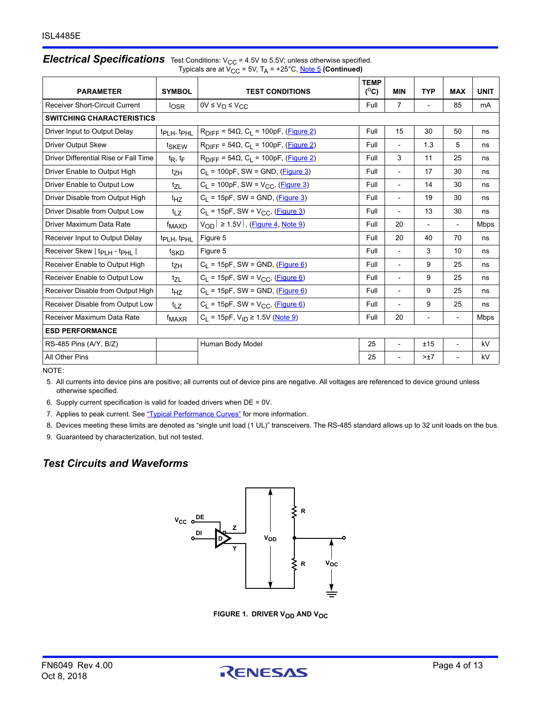#### **Electrical Specifications** Test Conditions: V<sub>CC</sub> = 4.5V to 5.5V; unless otherwise specified. Typicals are at V<sub>CC</sub> = 5V, T<sub>A</sub> = +25°C, <u>Note 5</u> (Continued)

| <b>PARAMETER</b>                                    | <b>SYMBOL</b>                       | <b>TEST CONDITIONS</b>                                                        | <b>TEMP</b><br>$(^{\circ}C)$ | <b>MIN</b>               | <b>TYP</b>               | <b>MAX</b>               | <b>UNIT</b> |
|-----------------------------------------------------|-------------------------------------|-------------------------------------------------------------------------------|------------------------------|--------------------------|--------------------------|--------------------------|-------------|
| <b>Receiver Short-Circuit Current</b>               | $I_{\text{OSR}}$                    | $0V \leq V_O \leq V_{CC}$                                                     | Full                         | $\overline{7}$           | $\overline{\phantom{a}}$ | 85                       | mA          |
| <b>SWITCHING CHARACTERISTICS</b>                    |                                     |                                                                               |                              |                          |                          |                          |             |
| Driver Input to Output Delay                        | t <sub>PLH</sub> , t <sub>PHL</sub> | $R_{\text{DIFF}} = 54\Omega$ , C <sub>L</sub> = 100pF, (Figure 2)             | Full                         | 15                       | 30                       | 50                       | ns          |
| Driver Output Skew                                  | t <sub>SKEW</sub>                   | $R_{\text{DIFF}} = 54\Omega$ , C <sub>1</sub> = 100pF, (Figure 2)             | Full                         | $\overline{\phantom{a}}$ | 1.3                      | 5                        | ns          |
| Driver Differential Rise or Fall Time               | $t_{\mathsf{R}}, t_{\mathsf{F}}$    | $R_{\text{DIFF}}$ = 54 $\Omega$ , C <sub>L</sub> = 100pF, ( <b>Figure 2</b> ) | Full                         | 3                        | 11                       | 25                       | ns          |
| Driver Enable to Output High                        | tzн                                 | $C_L$ = 100pF, SW = GND, ( <i>Figure 3</i> )                                  | Full                         | $\overline{\phantom{a}}$ | 17                       | 30                       | ns          |
| Driver Enable to Output Low                         | $t_{ZL}$                            | $C_L$ = 100pF, SW = $V_{CC}$ , (Figure 3)                                     | Full                         | $\overline{\phantom{a}}$ | 14                       | 30                       | ns          |
| Driver Disable from Output High                     | t <sub>HZ</sub>                     | $C_L$ = 15pF, SW = GND, ( <i>Figure 3</i> )                                   | Full                         | $\overline{\phantom{a}}$ | 19                       | 30                       | ns          |
| Driver Disable from Output Low                      | t <sub>LZ</sub>                     | $C_L$ = 15pF, SW = $V_{CC}$ , (Figure 3)                                      | Full                         | $\overline{\phantom{a}}$ | 13                       | 30                       | ns          |
| Driver Maximum Data Rate                            | f <sub>MAXD</sub>                   | $V_{OD}$ $\geq$ 1.5V $\vert$ , (Figure 4, Note 9)                             | Full                         | 20                       | $\overline{\phantom{a}}$ | $\overline{\phantom{a}}$ | <b>Mbps</b> |
| Receiver Input to Output Delay                      | tp <sub>LH</sub> , tp <sub>HL</sub> | Figure 5                                                                      | Full                         | 20                       | 40                       | 70                       | ns          |
| Receiver Skew   t <sub>PLH</sub> - t <sub>PHL</sub> | t <sub>SKD</sub>                    | Figure 5                                                                      | Full                         | $\overline{\phantom{a}}$ | 3                        | 10                       | ns          |
| Receiver Enable to Output High                      | tzн                                 | $C_L$ = 15pF, SW = GND, (Figure 6)                                            | Full                         | $\overline{\phantom{a}}$ | 9                        | 25                       | ns          |
| Receiver Enable to Output Low                       | $t_{71}$                            | $C_1 = 15pF$ , SW = V <sub>CC</sub> , (Figure 6)                              | Full                         | $\blacksquare$           | 9                        | 25                       | ns          |
| Receiver Disable from Output High                   | t <sub>HZ</sub>                     | $C_1$ = 15pF, SW = GND, (Figure 6)                                            | Full                         | $\blacksquare$           | 9                        | 25                       | ns          |
| Receiver Disable from Output Low                    | $t_{LZ}$                            | $C_L$ = 15pF, SW = $V_{CC}$ , (Figure 6)                                      | Full                         | $\overline{\phantom{a}}$ | 9                        | 25                       | ns          |
| Receiver Maximum Data Rate                          | f <sub>MAXR</sub>                   | $C_L$ = 15pF, $V_{ID} \ge 1.5V$ (Note 9)                                      | Full                         | 20                       | $\overline{\phantom{a}}$ | $\overline{\phantom{a}}$ | Mbps        |
| <b>ESD PERFORMANCE</b>                              |                                     |                                                                               |                              |                          |                          |                          |             |
| RS-485 Pins (A/Y, B/Z)                              |                                     | Human Body Model                                                              | 25                           | $\overline{\phantom{a}}$ | ±15                      | $\blacksquare$           | kV          |
| All Other Pins                                      |                                     |                                                                               | 25                           | $\overline{\phantom{a}}$ | >±7                      | $\overline{\phantom{a}}$ | kV          |

NOTE:

<span id="page-3-0"></span>5. All currents into device pins are positive; all currents out of device pins are negative. All voltages are referenced to device ground unless otherwise specified.

<span id="page-3-1"></span>6. Supply current specification is valid for loaded drivers when DE = 0V.

<span id="page-3-2"></span>7. Applies to peak current. See ["Typical Performance Curves"](#page-7-0) for more information.

<span id="page-3-3"></span>8. Devices meeting these limits are denoted as "single unit load (1 UL)" transceivers. The RS-485 standard allows up to 32 unit loads on the bus.

<span id="page-3-5"></span>9. Guaranteed by characterization, but not tested.

# *Test Circuits and Waveforms*



**FIGURE 1. DRIVER V<sub>OD</sub> AND V<sub>OC</sub>** 

<span id="page-3-4"></span>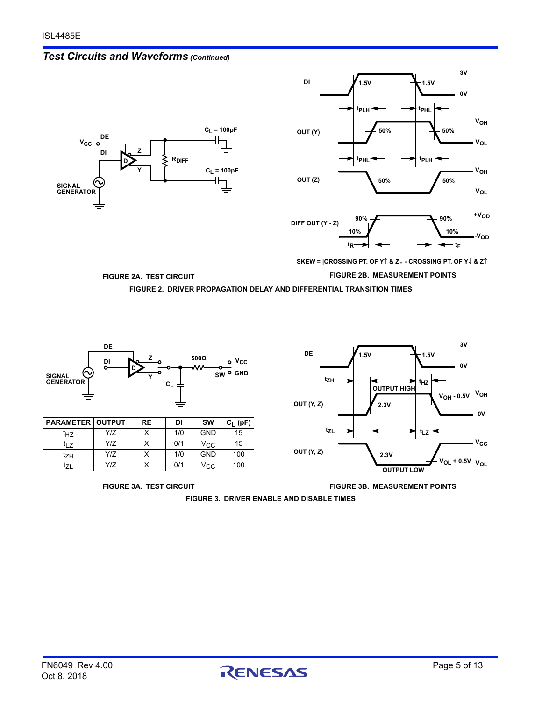







**SKEW = |CROSSING PT. OF Y & Z - CROSSING PT. OF Y & Z**

**FIGURE 2A. TEST CIRCUIT FIGURE 2B. MEASUREMENT POINTS**

**FIGURE 2. DRIVER PROPAGATION DELAY AND DIFFERENTIAL TRANSITION TIMES**

<span id="page-4-0"></span>

<span id="page-4-1"></span>**FIGURE 3. DRIVER ENABLE AND DISABLE TIMES**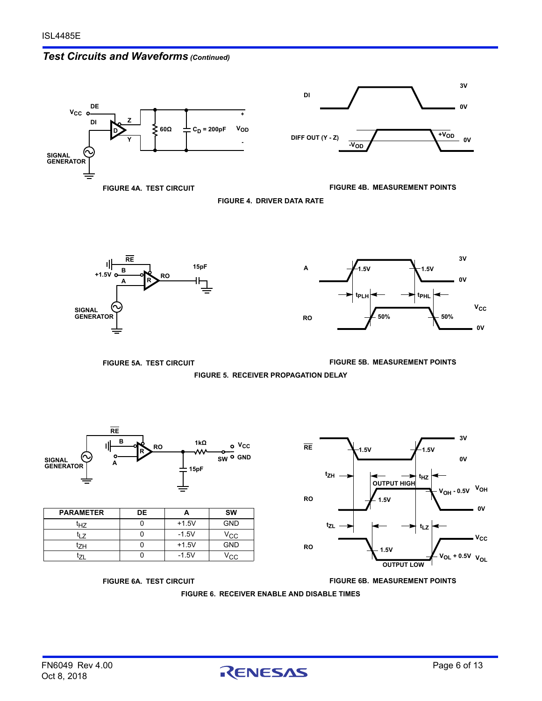# *Test Circuits and Waveforms (Continued)*









<span id="page-5-0"></span>



**FIGURE 5A. TEST CIRCUIT FIGURE 5B. MEASUREMENT POINTS**

**FIGURE 5. RECEIVER PROPAGATION DELAY**



| <b>PARAMETER</b> | DE |         | <b>SW</b>  |
|------------------|----|---------|------------|
| tнz              |    | $+1.5V$ | <b>GND</b> |
| J7               |    | $-1.5V$ | Vcc        |
| t <sub>ZH</sub>  |    | $+1.5V$ | <b>GND</b> |
| 71               |    | $-1.5V$ | Vcc.       |



<span id="page-5-1"></span>**FIGURE 6A. TEST CIRCUIT FIGURE 6B. MEASUREMENT POINTS**

**FIGURE 6. RECEIVER ENABLE AND DISABLE TIMES**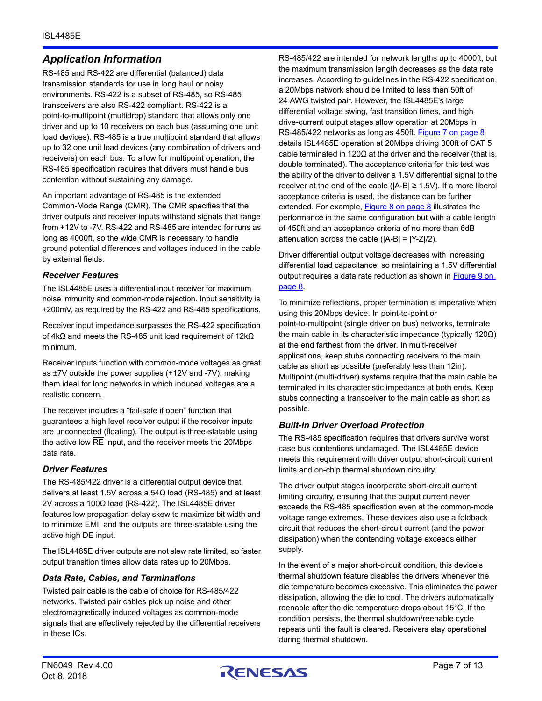# *Application Information*

RS-485 and RS-422 are differential (balanced) data transmission standards for use in long haul or noisy environments. RS-422 is a subset of RS-485, so RS-485 transceivers are also RS-422 compliant. RS-422 is a point-to-multipoint (multidrop) standard that allows only one driver and up to 10 receivers on each bus (assuming one unit load devices). RS-485 is a true multipoint standard that allows up to 32 one unit load devices (any combination of drivers and receivers) on each bus. To allow for multipoint operation, the RS-485 specification requires that drivers must handle bus contention without sustaining any damage.

An important advantage of RS-485 is the extended Common-Mode Range (CMR). The CMR specifies that the driver outputs and receiver inputs withstand signals that range from +12V to -7V. RS-422 and RS-485 are intended for runs as long as 4000ft, so the wide CMR is necessary to handle ground potential differences and voltages induced in the cable by external fields.

#### *Receiver Features*

The ISL4485E uses a differential input receiver for maximum noise immunity and common-mode rejection. Input sensitivity is 200mV, as required by the RS-422 and RS-485 specifications.

Receiver input impedance surpasses the RS-422 specification of 4kΩ and meets the RS-485 unit load requirement of 12kΩ minimum.

Receiver inputs function with common-mode voltages as great as  $\pm$ 7V outside the power supplies (+12V and -7V), making them ideal for long networks in which induced voltages are a realistic concern.

The receiver includes a "fail-safe if open" function that guarantees a high level receiver output if the receiver inputs are unconnected (floating). The output is three-statable using the active low RE input, and the receiver meets the 20Mbps data rate.

## *Driver Features*

The RS-485/422 driver is a differential output device that delivers at least 1.5V across a 54Ω load (RS-485) and at least 2V across a 100Ω load (RS-422). The ISL4485E driver features low propagation delay skew to maximize bit width and to minimize EMI, and the outputs are three-statable using the active high DE input.

The ISL4485E driver outputs are not slew rate limited, so faster output transition times allow data rates up to 20Mbps.

#### *Data Rate, Cables, and Terminations*

Twisted pair cable is the cable of choice for RS-485/422 networks. Twisted pair cables pick up noise and other electromagnetically induced voltages as common-mode signals that are effectively rejected by the differential receivers in these ICs.

RS-485/422 are intended for network lengths up to 4000ft, but the maximum transmission length decreases as the data rate increases. According to guidelines in the RS-422 specification, a 20Mbps network should be limited to less than 50ft of 24 AWG twisted pair. However, the ISL4485E's large differential voltage swing, fast transition times, and high drive-current output stages allow operation at 20Mbps in RS-485/422 networks as long as 450ft. [Figure 7 on page 8](#page-7-1) details ISL4485E operation at 20Mbps driving 300ft of CAT 5 cable terminated in 120 $\Omega$  at the driver and the receiver (that is, double terminated). The acceptance criteria for this test was the ability of the driver to deliver a 1.5V differential signal to the receiver at the end of the cable ( $|A-B| \ge 1.5V$ ). If a more liberal acceptance criteria is used, the distance can be further extended. For example, [Figure 8 on page 8](#page-7-2) illustrates the performance in the same configuration but with a cable length of 450ft and an acceptance criteria of no more than 6dB attenuation across the cable ( $|A-B| = |Y-Z|/2$ ).

Driver differential output voltage decreases with increasing differential load capacitance, so maintaining a 1.5V differential output requires a data rate reduction as shown in **Figure 9 on** [page 8](#page-7-3).

To minimize reflections, proper termination is imperative when using this 20Mbps device. In point-to-point or point-to-multipoint (single driver on bus) networks, terminate the main cable in its characteristic impedance (typically 120Ω) at the end farthest from the driver. In multi-receiver applications, keep stubs connecting receivers to the main cable as short as possible (preferably less than 12in). Multipoint (multi-driver) systems require that the main cable be terminated in its characteristic impedance at both ends. Keep stubs connecting a transceiver to the main cable as short as possible.

#### *Built-In Driver Overload Protection*

The RS-485 specification requires that drivers survive worst case bus contentions undamaged. The ISL4485E device meets this requirement with driver output short-circuit current limits and on-chip thermal shutdown circuitry.

The driver output stages incorporate short-circuit current limiting circuitry, ensuring that the output current never exceeds the RS-485 specification even at the common-mode voltage range extremes. These devices also use a foldback circuit that reduces the short-circuit current (and the power dissipation) when the contending voltage exceeds either supply.

In the event of a major short-circuit condition, this device's thermal shutdown feature disables the drivers whenever the die temperature becomes excessive. This eliminates the power dissipation, allowing the die to cool. The drivers automatically reenable after the die temperature drops about 15°C. If the condition persists, the thermal shutdown/reenable cycle repeats until the fault is cleared. Receivers stay operational during thermal shutdown.

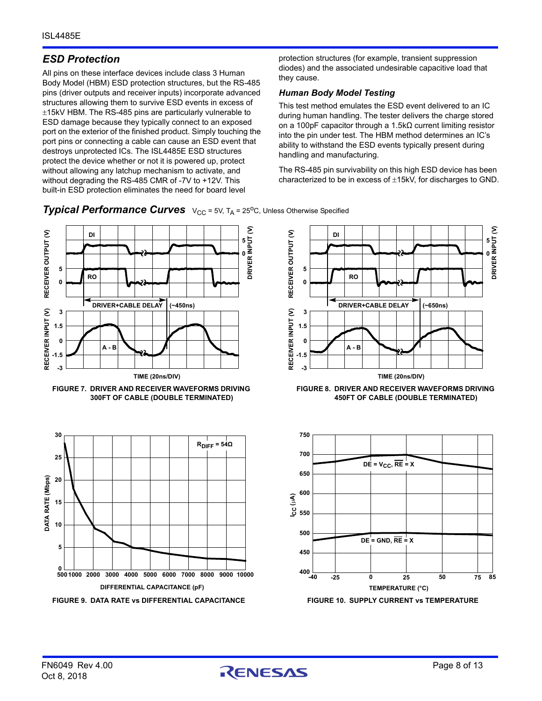# *ESD Protection*

All pins on these interface devices include class 3 Human Body Model (HBM) ESD protection structures, but the RS-485 pins (driver outputs and receiver inputs) incorporate advanced structures allowing them to survive ESD events in excess of  $±15kV$  HBM. The RS-485 pins are particularly vulnerable to ESD damage because they typically connect to an exposed port on the exterior of the finished product. Simply touching the port pins or connecting a cable can cause an ESD event that destroys unprotected ICs. The ISL4485E ESD structures protect the device whether or not it is powered up, protect without allowing any latchup mechanism to activate, and without degrading the RS-485 CMR of -7V to +12V. This built-in ESD protection eliminates the need for board level

protection structures (for example, transient suppression diodes) and the associated undesirable capacitive load that they cause.

#### *Human Body Model Testing*

This test method emulates the ESD event delivered to an IC during human handling. The tester delivers the charge stored on a 100pF capacitor through a 1.5kΩ current limiting resistor into the pin under test. The HBM method determines an IC's ability to withstand the ESD events typically present during handling and manufacturing.

The RS-485 pin survivability on this high ESD device has been characterized to be in excess of  $\pm$ 15kV, for discharges to GND.

<span id="page-7-0"></span>**Typical Performance Curves**  $V_{CC} = 5V$ , T<sub>A</sub> = 25<sup>o</sup>C, Unless Otherwise Specified

<span id="page-7-1"></span>



<span id="page-7-2"></span>**FIGURE 8. DRIVER AND RECEIVER WAVEFORMS DRIVING 450FT OF CABLE (DOUBLE TERMINATED)** 

<span id="page-7-3"></span>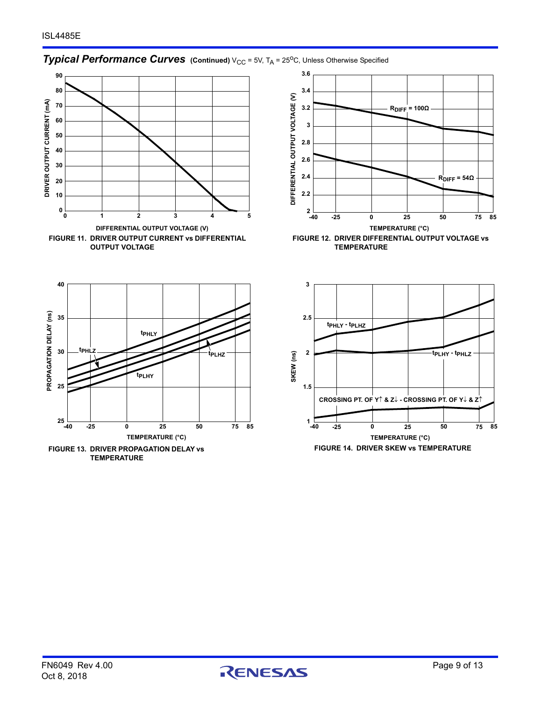# **Typical Performance Curves** (Continued) V<sub>CC</sub> = 5V, T<sub>A</sub> = 25<sup>o</sup>C, Unless Otherwise Specified







**FIGURE 13. DRIVER PROPAGATION DELAY vs TEMPERATURE**



**FIGURE 12. DRIVER DIFFERENTIAL OUTPUT VOLTAGE vs TEMPERATURE**



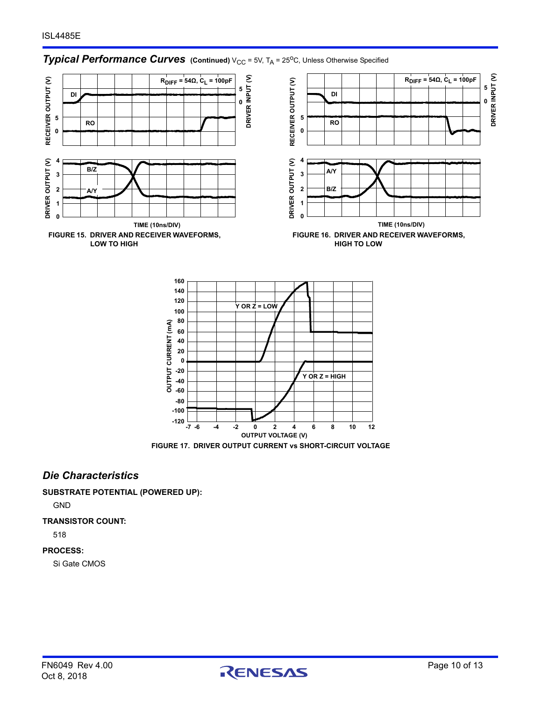# **Typical Performance Curves** (Continued) V<sub>CC</sub> = 5V, T<sub>A</sub> = 25<sup>o</sup>C, Unless Otherwise Specified





### *Die Characteristics*

**SUBSTRATE POTENTIAL (POWERED UP):**

GND

#### **TRANSISTOR COUNT:**

518

#### **PROCESS:**

Si Gate CMOS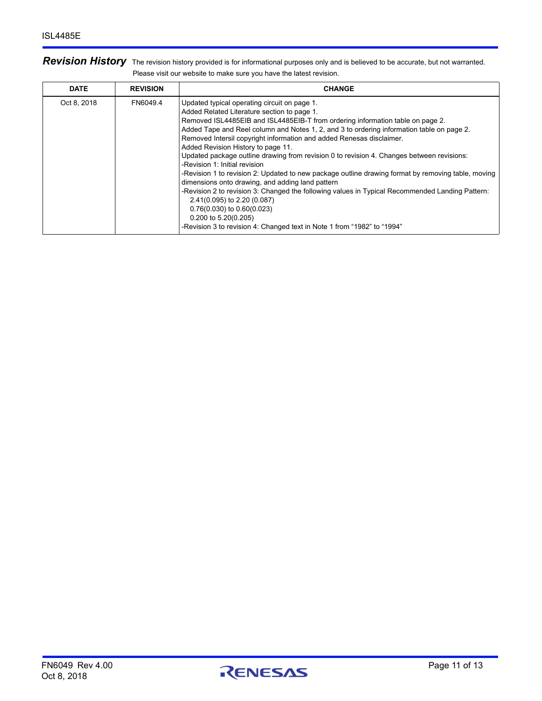| Revision History The revision history provided is for informational purposes only and is believed to be accurate, but not warranted. |
|--------------------------------------------------------------------------------------------------------------------------------------|
| Please visit our website to make sure you have the latest revision.                                                                  |

| <b>DATE</b> | <b>REVISION</b> | <b>CHANGE</b>                                                                                                                                                                                                                                                                                                                                                                                                                                                                                                                                                                                                                                                                                                                                                                                                                                                                                                                                             |
|-------------|-----------------|-----------------------------------------------------------------------------------------------------------------------------------------------------------------------------------------------------------------------------------------------------------------------------------------------------------------------------------------------------------------------------------------------------------------------------------------------------------------------------------------------------------------------------------------------------------------------------------------------------------------------------------------------------------------------------------------------------------------------------------------------------------------------------------------------------------------------------------------------------------------------------------------------------------------------------------------------------------|
| Oct 8, 2018 | FN6049.4        | Updated typical operating circuit on page 1.<br>Added Related Literature section to page 1.<br>Removed ISL4485EIB and ISL4485EIB-T from ordering information table on page 2.<br>Added Tape and Reel column and Notes 1, 2, and 3 to ordering information table on page 2.<br>Removed Intersil copyright information and added Renesas disclaimer.<br>Added Revision History to page 11.<br>Updated package outline drawing from revision 0 to revision 4. Changes between revisions:<br>-Revision 1: Initial revision<br>-Revision 1 to revision 2: Updated to new package outline drawing format by removing table, moving<br>dimensions onto drawing, and adding land pattern<br>-Revision 2 to revision 3: Changed the following values in Typical Recommended Landing Pattern:<br>2.41(0.095) to 2.20 (0.087)<br>$0.76(0.030)$ to $0.60(0.023)$<br>$0.200$ to 5.20(0.205)<br>-Revision 3 to revision 4: Changed text in Note 1 from "1982" to "1994" |

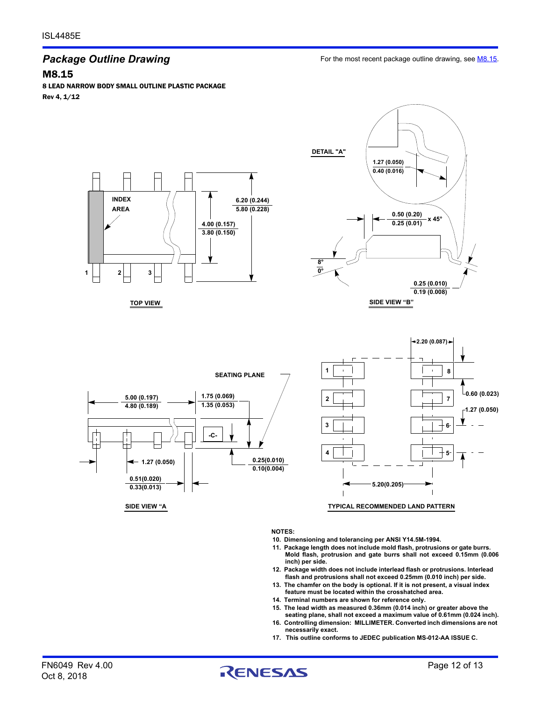# *Package Outline Drawing*

M8.15

8 LEAD NARROW BODY SMALL OUTLINE PLASTIC PACKAGE Rev 4, 1/12



**TOP VIEW**









**SIDE VIEW "A**

**NOTES:**

- **10. Dimensioning and tolerancing per ANSI Y14.5M-1994.**
- **11. Package length does not include mold flash, protrusions or gate burrs. Mold flash, protrusion and gate burrs shall not exceed 0.15mm (0.006 inch) per side.**
- **12. Package width does not include interlead flash or protrusions. Interlead flash and protrusions shall not exceed 0.25mm (0.010 inch) per side.**
- **13. The chamfer on the body is optional. If it is not present, a visual index feature must be located within the crosshatched area.**
- **14. Terminal numbers are shown for reference only.**
- **15. The lead width as measured 0.36mm (0.014 inch) or greater above the seating plane, shall not exceed a maximum value of 0.61mm (0.024 inch).**
- **16. Controlling dimension: MILLIMETER. Converted inch dimensions are not necessarily exact.**
- **17. This outline conforms to JEDEC publication MS-012-AA ISSUE C.**